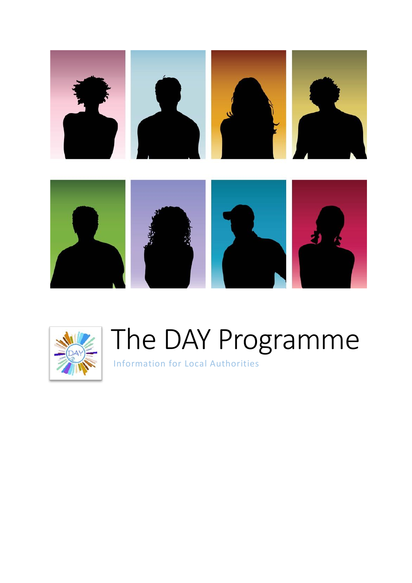



# The DAY Programme

Information for Local Authorities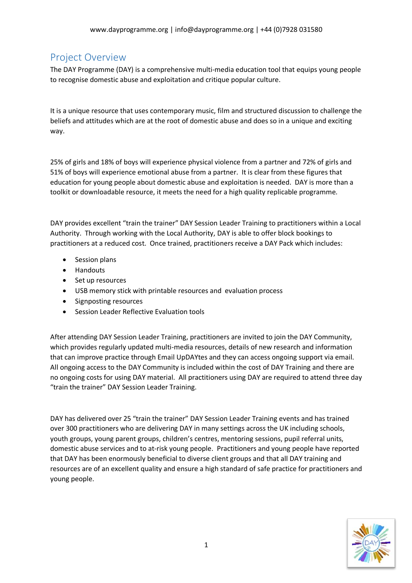# Project Overview

The DAY Programme (DAY) is a comprehensive multi-media education tool that equips young people to recognise domestic abuse and exploitation and critique popular culture.

It is a unique resource that uses contemporary music, film and structured discussion to challenge the beliefs and attitudes which are at the root of domestic abuse and does so in a unique and exciting way.

25% of girls and 18% of boys will experience physical violence from a partner and 72% of girls and 51% of boys will experience emotional abuse from a partner. It is clear from these figures that education for young people about domestic abuse and exploitation is needed. DAY is more than a toolkit or downloadable resource, it meets the need for a high quality replicable programme.

DAY provides excellent "train the trainer" DAY Session Leader Training to practitioners within a Local Authority. Through working with the Local Authority, DAY is able to offer block bookings to practitioners at a reduced cost. Once trained, practitioners receive a DAY Pack which includes:

- Session plans
- Handouts
- Set up resources
- USB memory stick with printable resources and evaluation process
- Signposting resources
- Session Leader Reflective Evaluation tools

After attending DAY Session Leader Training, practitioners are invited to join the DAY Community, which provides regularly updated multi-media resources, details of new research and information that can improve practice through Email UpDAYtes and they can access ongoing support via email. All ongoing access to the DAY Community is included within the cost of DAY Training and there are no ongoing costs for using DAY material. All practitioners using DAY are required to attend three day "train the trainer" DAY Session Leader Training.

DAY has delivered over 25 "train the trainer" DAY Session Leader Training events and has trained over 300 practitioners who are delivering DAY in many settings across the UK including schools, youth groups, young parent groups, children's centres, mentoring sessions, pupil referral units, domestic abuse services and to at-risk young people. Practitioners and young people have reported that DAY has been enormously beneficial to diverse client groups and that all DAY training and resources are of an excellent quality and ensure a high standard of safe practice for practitioners and young people.

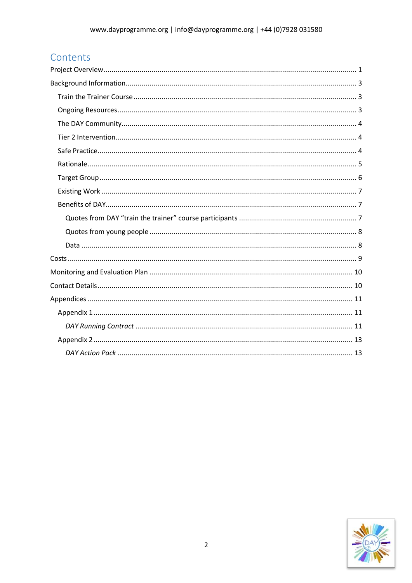# Contents

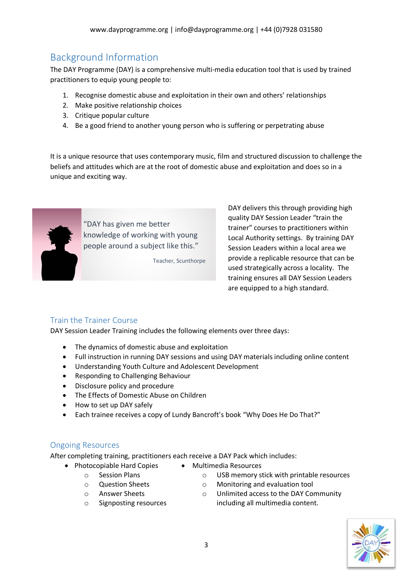# Background Information

The DAY Programme (DAY) is a comprehensive multi-media education tool that is used by trained practitioners to equip young people to:

- 1. Recognise domestic abuse and exploitation in their own and others' relationships
- 2. Make positive relationship choices
- 3. Critique popular culture
- 4. Be a good friend to another young person who is suffering or perpetrating abuse

It is a unique resource that uses contemporary music, film and structured discussion to challenge the beliefs and attitudes which are at the root of domestic abuse and exploitation and does so in a unique and exciting way.



"DAY has given me better knowledge of working with young people around a subject like this."

Teacher, Scunthorpe

DAY delivers this through providing high quality DAY Session Leader "train the trainer" courses to practitioners within Local Authority settings. By training DAY Session Leaders within a local area we provide a replicable resource that can be used strategically across a locality. The training ensures all DAY Session Leaders are equipped to a high standard.

#### Train the Trainer Course

DAY Session Leader Training includes the following elements over three days:

- The dynamics of domestic abuse and exploitation
- Full instruction in running DAY sessions and using DAY materials including online content
- Understanding Youth Culture and Adolescent Development
- Responding to Challenging Behaviour
- Disclosure policy and procedure
- The Effects of Domestic Abuse on Children
- How to set up DAY safely
- Each trainee receives a copy of Lundy Bancroft's book "Why Does He Do That?"

#### Ongoing Resources

After completing training, practitioners each receive a DAY Pack which includes:

- Photocopiable Hard Copies
- Multimedia Resources
- o Session Plans
- 
- 
- o Question Sheets
- o Answer Sheets
- o Signposting resources
- - o USB memory stick with printable resources
	- o Monitoring and evaluation tool
	- o Unlimited access to the DAY Community including all multimedia content.

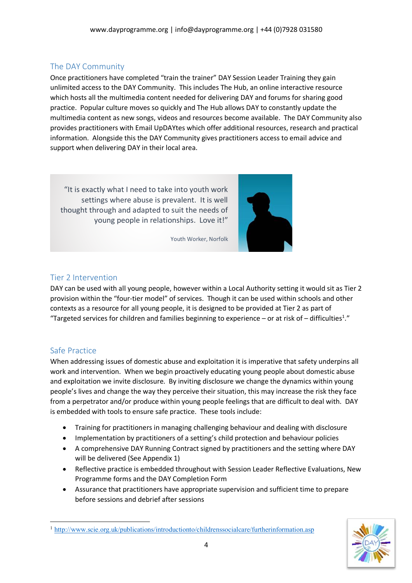## The DAY Community

Once practitioners have completed "train the trainer" DAY Session Leader Training they gain unlimited access to the DAY Community. This includes The Hub, an online interactive resource which hosts all the multimedia content needed for delivering DAY and forums for sharing good practice. Popular culture moves so quickly and The Hub allows DAY to constantly update the multimedia content as new songs, videos and resources become available. The DAY Community also provides practitioners with Email UpDAYtes which offer additional resources, research and practical information. Alongside this the DAY Community gives practitioners access to email advice and support when delivering DAY in their local area.

"It is exactly what I need to take into youth work settings where abuse is prevalent. It is well thought through and adapted to suit the needs of young people in relationships. Love it!"



Youth Worker, Norfolk

#### Tier 2 Intervention

DAY can be used with all young people, however within a Local Authority setting it would sit as Tier 2 provision within the "four-tier model" of services. Though it can be used within schools and other contexts as a resource for all young people, it is designed to be provided at Tier 2 as part of "Targeted services for children and families beginning to experience - or at risk of - difficulties<sup>1</sup>."

## Safe Practice

 $\overline{a}$ 

When addressing issues of domestic abuse and exploitation it is imperative that safety underpins all work and intervention. When we begin proactively educating young people about domestic abuse and exploitation we invite disclosure. By inviting disclosure we change the dynamics within young people's lives and change the way they perceive their situation, this may increase the risk they face from a perpetrator and/or produce within young people feelings that are difficult to deal with. DAY is embedded with tools to ensure safe practice. These tools include:

- Training for practitioners in managing challenging behaviour and dealing with disclosure
- Implementation by practitioners of a setting's child protection and behaviour policies
- A comprehensive DAY Running Contract signed by practitioners and the setting where DAY will be delivered (See Appendix 1)
- Reflective practice is embedded throughout with Session Leader Reflective Evaluations, New Programme forms and the DAY Completion Form
- Assurance that practitioners have appropriate supervision and sufficient time to prepare before sessions and debrief after sessions



<sup>1</sup> http://www.scie.org.uk/publications/introductionto/childrenssocialcare/furtherinformation.asp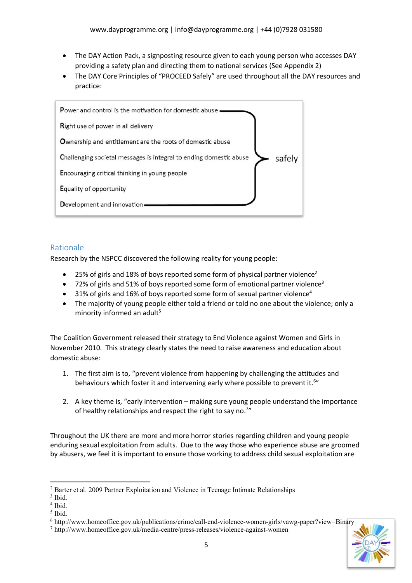- The DAY Action Pack, a signposting resource given to each young person who accesses DAY providing a safety plan and directing them to national services (See Appendix 2)
- The DAY Core Principles of "PROCEED Safely" are used throughout all the DAY resources and practice:



#### Rationale

Research by the NSPCC discovered the following reality for young people:

- 25% of girls and 18% of boys reported some form of physical partner violence<sup>2</sup>
- 72% of girls and 51% of boys reported some form of emotional partner violence<sup>3</sup>
- $\bullet$  31% of girls and 16% of boys reported some form of sexual partner violence<sup>4</sup>
- The majority of young people either told a friend or told no one about the violence; only a minority informed an adult<sup>5</sup>

The Coalition Government released their strategy to End Violence against Women and Girls in November 2010. This strategy clearly states the need to raise awareness and education about domestic abuse:

- 1. The first aim is to, "prevent violence from happening by challenging the attitudes and behaviours which foster it and intervening early where possible to prevent it.<sup>6</sup>"
- 2. A key theme is, "early intervention making sure young people understand the importance of healthy relationships and respect the right to say no.<sup>7</sup>"

Throughout the UK there are more and more horror stories regarding children and young people enduring sexual exploitation from adults. Due to the way those who experience abuse are groomed by abusers, we feel it is important to ensure those working to address child sexual exploitation are

 $\overline{a}$ 

<sup>2</sup> Barter et al. 2009 Partner Exploitation and Violence in Teenage Intimate Relationships

<sup>&</sup>lt;sup>3</sup> Ibid.

<sup>&</sup>lt;sup>4</sup> Ibid.

<sup>5</sup> Ibid.

<sup>6</sup> http://www.homeoffice.gov.uk/publications/crime/call-end-violence-women-girls/vawg-paper?view=Binary

<sup>7</sup> http://www.homeoffice.gov.uk/media-centre/press-releases/violence-against-women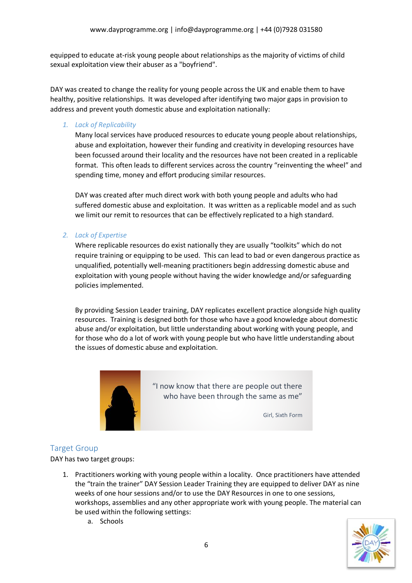equipped to educate at-risk young people about relationships as the majority of victims of child sexual exploitation view their abuser as a "boyfriend".

DAY was created to change the reality for young people across the UK and enable them to have healthy, positive relationships. It was developed after identifying two major gaps in provision to address and prevent youth domestic abuse and exploitation nationally:

#### *1. Lack of Replicability*

Many local services have produced resources to educate young people about relationships, abuse and exploitation, however their funding and creativity in developing resources have been focussed around their locality and the resources have not been created in a replicable format. This often leads to different services across the country "reinventing the wheel" and spending time, money and effort producing similar resources.

DAY was created after much direct work with both young people and adults who had suffered domestic abuse and exploitation. It was written as a replicable model and as such we limit our remit to resources that can be effectively replicated to a high standard.

#### *2. Lack of Expertise*

Where replicable resources do exist nationally they are usually "toolkits" which do not require training or equipping to be used. This can lead to bad or even dangerous practice as unqualified, potentially well-meaning practitioners begin addressing domestic abuse and exploitation with young people without having the wider knowledge and/or safeguarding policies implemented.

By providing Session Leader training, DAY replicates excellent practice alongside high quality resources. Training is designed both for those who have a good knowledge about domestic abuse and/or exploitation, but little understanding about working with young people, and for those who do a lot of work with young people but who have little understanding about the issues of domestic abuse and exploitation.



"I now know that there are people out there who have been through the same as me"

Girl, Sixth Form

#### Target Group

DAY has two target groups:

- 1. Practitioners working with young people within a locality. Once practitioners have attended the "train the trainer" DAY Session Leader Training they are equipped to deliver DAY as nine weeks of one hour sessions and/or to use the DAY Resources in one to one sessions, workshops, assemblies and any other appropriate work with young people. The material can be used within the following settings:
	-

a. Schools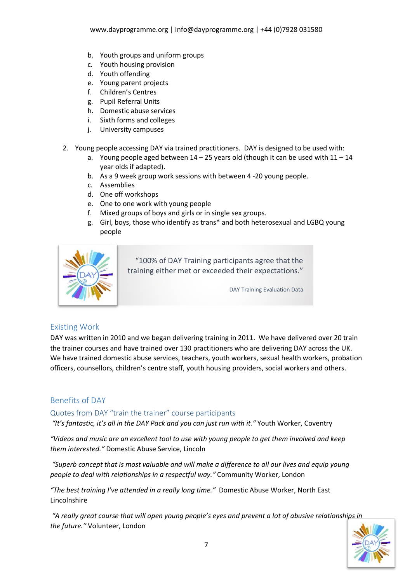- b. Youth groups and uniform groups
- c. Youth housing provision
- d. Youth offending
- e. Young parent projects
- f. Children's Centres
- g. Pupil Referral Units
- h. Domestic abuse services
- i. Sixth forms and colleges
- j. University campuses
- 2. Young people accessing DAY via trained practitioners. DAY is designed to be used with:
	- a. Young people aged between  $14 25$  years old (though it can be used with  $11 14$ year olds if adapted).
	- b. As a 9 week group work sessions with between 4 -20 young people.
	- c. Assemblies
	- d. One off workshops
	- e. One to one work with young people
	- f. Mixed groups of boys and girls or in single sex groups.
	- g. Girl, boys, those who identify as trans\* and both heterosexual and LGBQ young people



"100% of DAY Training participants agree that the training either met or exceeded their expectations."

DAY Training Evaluation Data

## Existing Work

DAY was written in 2010 and we began delivering training in 2011. We have delivered over 20 train the trainer courses and have trained over 130 practitioners who are delivering DAY across the UK. We have trained domestic abuse services, teachers, youth workers, sexual health workers, probation officers, counsellors, children's centre staff, youth housing providers, social workers and others.

## Benefits of DAY

# Quotes from DAY "train the trainer" course participants

*"It's fantastic, it's all in the DAY Pack and you can just run with it."* Youth Worker, Coventry

*"Videos and music are an excellent tool to use with young people to get them involved and keep them interested."* Domestic Abuse Service, Lincoln

*"Superb concept that is most valuable and will make a difference to all our lives and equip young people to deal with relationships in a respectful way."* Community Worker, London

*"The best training I've attended in a really long time."* Domestic Abuse Worker, North East Lincolnshire

*"A really great course that will open young people's eyes and prevent a lot of abusive relationships in the future."* Volunteer, London

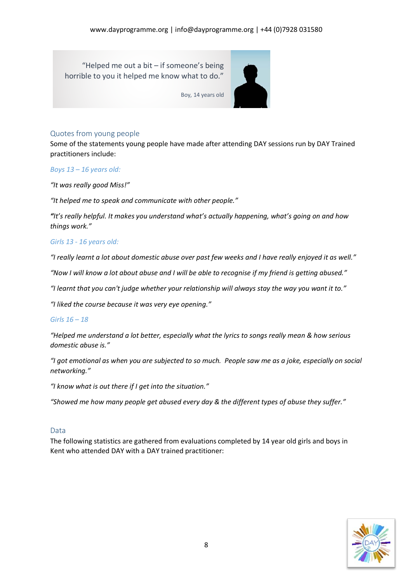"Helped me out a bit – if someone's being horrible to you it helped me know what to do."



Boy, 14 years old

#### Quotes from young people

Some of the statements young people have made after attending DAY sessions run by DAY Trained practitioners include:

#### *Boys 13 – 16 years old:*

*"It was really good Miss!"*

*"It helped me to speak and communicate with other people."*

*"It's really helpful. It makes you understand what's actually happening, what's going on and how things work."*

#### *Girls 13 - 16 years old:*

*"I really learnt a lot about domestic abuse over past few weeks and I have really enjoyed it as well."*

*"Now I will know a lot about abuse and I will be able to recognise if my friend is getting abused."*

*"I learnt that you can't judge whether your relationship will always stay the way you want it to."*

*"I liked the course because it was very eye opening."*

#### *Girls 16 – 18*

*"Helped me understand a lot better, especially what the lyrics to songs really mean & how serious domestic abuse is."*

*"I got emotional as when you are subjected to so much. People saw me as a joke, especially on social networking."*

*"I know what is out there if I get into the situation."*

*"Showed me how many people get abused every day & the different types of abuse they suffer."*

#### Data

The following statistics are gathered from evaluations completed by 14 year old girls and boys in Kent who attended DAY with a DAY trained practitioner:

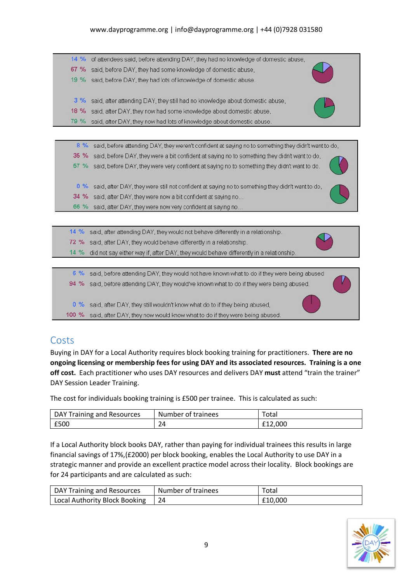#### www.dayprogramme.org | info@dayprogramme.org | +44 (0)7928 031580

| $14\%$ | of attendees said, before attending DAY, they had no knowledge of domestic abuse, |  |
|--------|-----------------------------------------------------------------------------------|--|
| 67%    | said, before DAY, they had some knowledge of domestic abuse,                      |  |
| $19\%$ | said, before DAY, they had lots of knowledge of domestic abuse.                   |  |
| $3\%$  | said, after attending DAY, they still had no knowledge about domestic abuse,      |  |
| 18 %   | said, after DAY, they now had some knowledge about domestic abuse,                |  |
| 79 %   | said, after DAY, they now had lots of knowledge about domestic abuse.             |  |

8 % said, before attending DAY, they weren't confident at saying no to something they didn't want to do, 35 % said, before DAY, they were a bit confident at saying no to something they didn't want to do, 57 % said, before DAY, they were very confident at saying no to something they didn't want to do. 0 % said, after DAY, they were still not confident at saying no to something they didn't want to do, 34 % said, after DAY, they were now a bit confident at saying no... 66 % said, after DAY, they were now very confident at saying no...

14 % said, after attending DAY, they would not behave differently in a relationship. 72 % said, after DAY, they would behave differently in a relationship.

14 % did not say either way if, after DAY, they would behave differently in a relationship.

6 % said, before attending DAY, they would not have known what to do if they were being abused

94 % said, before attending DAY, they would've known what to do if they were being abused.

0 % said, after DAY, they still wouldn't know what do to if they being abused,

100 % said, after DAY, they now would know what to do if they were being abused.

## Costs

Buying in DAY for a Local Authority requires block booking training for practitioners. **There are no ongoing licensing or membership fees for using DAY and its associated resources. Training is a one off cost.** Each practitioner who uses DAY resources and delivers DAY **must** attend "train the trainer" DAY Session Leader Training.

The cost for individuals booking training is £500 per trainee. This is calculated as such:

| DAY Training and Resources | Number of trainees | Total   |
|----------------------------|--------------------|---------|
| £500                       | 24                 | £12,000 |

If a Local Authority block books DAY, rather than paying for individual trainees this results in large financial savings of 17%,(£2000) per block booking, enables the Local Authority to use DAY in a strategic manner and provide an excellent practice model across their locality. Block bookings are for 24 participants and are calculated as such:

| DAY Training and Resources    | Number of trainees | Total   |
|-------------------------------|--------------------|---------|
| Local Authority Block Booking |                    | £10,000 |

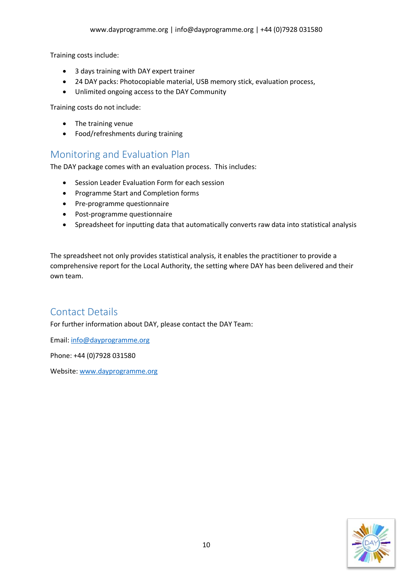Training costs include:

- 3 days training with DAY expert trainer
- 24 DAY packs: Photocopiable material, USB memory stick, evaluation process,
- Unlimited ongoing access to the DAY Community

Training costs do not include:

- The training venue
- Food/refreshments during training

## Monitoring and Evaluation Plan

The DAY package comes with an evaluation process. This includes:

- Session Leader Evaluation Form for each session
- Programme Start and Completion forms
- Pre-programme questionnaire
- Post-programme questionnaire
- Spreadsheet for inputting data that automatically converts raw data into statistical analysis

The spreadsheet not only provides statistical analysis, it enables the practitioner to provide a comprehensive report for the Local Authority, the setting where DAY has been delivered and their own team.

# Contact Details

For further information about DAY, please contact the DAY Team:

Email: info@dayprogramme.org

Phone: +44 (0)7928 031580

Website: www.dayprogramme.org

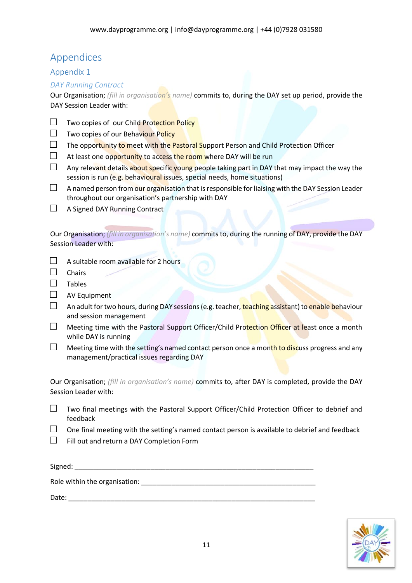# Appendices

#### Appendix 1

#### *DAY Running Contract*

Our Organisation; *(fill in organisation's name)* commits to, during the DAY set up period, provide the DAY Session Leader with:

- $\Box$  Two copies of our Child Protection Policy
- □ Two copies of our Behaviour Policy
- $\square$  The opportunity to meet with the Pastoral Support Person and Child Protection Officer
- $\Box$  At least one opportunity to access the room where DAY will be run
- $\square$  Any relevant details about specific young people taking part in DAY that may impact the way the session is run (e.g. behavioural issues, special needs, home situations)
- $\Box$  A named person from our organisation that is responsible for liaising with the DAY Session Leader throughout our organisation's partnership with DAY
- $\Box$  A Signed DAY Running Contract

Our Organisation; *(fill in organisation's name)* commits to, during the running of DAY, provide the DAY Session Leader with:

- $\Box$  A suitable room available for 2 hours
- □ Chairs
- $\square$  Tables
- □ AV Equipment
- □ An adult for two hours, during DAY sessions (e.g. teacher, teaching assistant) to enable behaviour and session management
- $\square$  Meeting time with the Pastoral Support Officer/Child Protection Officer at least once a month while DAY is running
- $\Box$  Meeting time with the setting's named contact person once a month to discuss progress and any management/practical issues regarding DAY

Our Organisation; *(fill in organisation's name)* commits to, after DAY is completed, provide the DAY Session Leader with:

- $\square$  Two final meetings with the Pastoral Support Officer/Child Protection Officer to debrief and feedback
- $\square$  One final meeting with the setting's named contact person is available to debrief and feedback
- $\Box$  Fill out and return a DAY Completion Form

| Signed:                       |  |
|-------------------------------|--|
| Role within the organisation: |  |
| Date:                         |  |

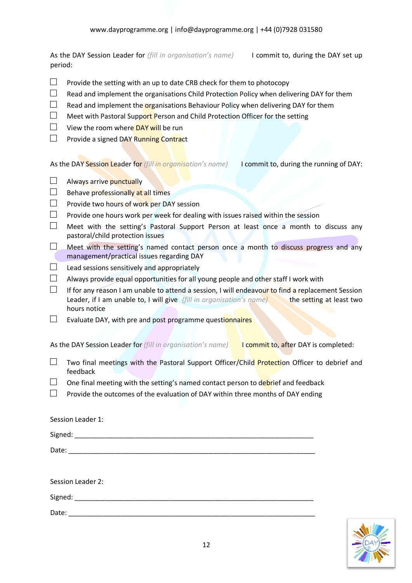As the DAY Session Leader for *(fill in organisation's name)* I commit to, during the DAY set up period:

- $\Box$  Provide the setting with an up to date CRB check for them to photocopy
- $\square$  Read and implement the organisations Child Protection Policy when delivering DAY for them
- $\square$  Read and implement the organisations Behaviour Policy when delivering DAY for them
- $\Box$  Meet with Pastoral Support Person and Child Protection Officer for the setting
- $\Box$  View the room where DAY will be run
- $\Box$  Provide a signed DAY Running Contract

As the DAY Session Leader for *(fill in organisation's name)* I commit to, during the running of DAY:

- $\Box$  Always arrive punctually
- $\Box$  Behave professionally at all times
- □ Provide two hours of work per DAY session
- $\square$  Provide one hours work per week for dealing with issues raised within the session
- $\Box$  Meet with the setting's Pastoral Support Person at least once a month to discuss any pastoral/child protection issues
- $\Box$  Meet with the setting's named contact person once a month to discuss progress and any management/practical issues regarding DAY
- $\Box$  Lead sessions sensitively and appropriately
- $\Box$  Always provide equal opportunities for all young people and other staff I work with
- $\square$  If for any reason I am unable to attend a session, I will endeavour to find a replacement Session Leader, if I am unable to, I will give *(fill in organisation's name)* the setting at least two hours notice
- $\square$  Evaluate DAY, with pre and post programme questionnaires

As the DAY Session Leader for *(fill in organisation's name)* I commit to, after DAY is completed:

- $\square$  Two final meetings with the Pastoral Support Officer/Child Protection Officer to debrief and feedback
- $\Box$  One final meeting with the setting's named contact person to debrief and feedback
- $\square$  Provide the outcomes of the evaluation of DAY within three months of DAY ending

| Session Leader 1: |  |
|-------------------|--|
|                   |  |
|                   |  |
|                   |  |
| Session Leader 2: |  |
|                   |  |
| Date:             |  |